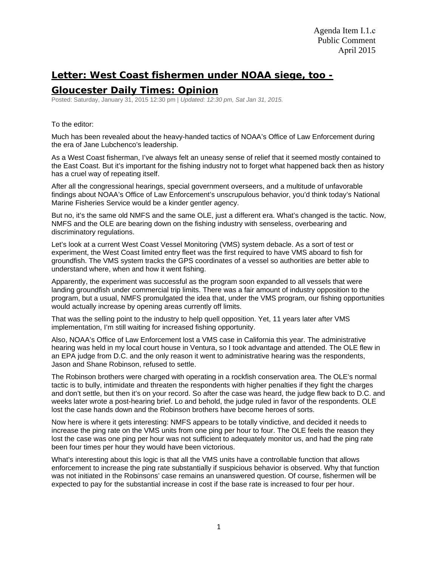## **Letter: West Coast fishermen under NOAA siege, too -**

## **Gloucester Daily Times: Opinion**

Posted: Saturday, January 31, 2015 12:30 pm | *Updated: 12:30 pm, Sat Jan 31, 2015.*

To the editor:

Much has been revealed about the heavy-handed tactics of NOAA's Office of Law Enforcement during the era of Jane Lubchenco's leadership.

As a West Coast fisherman, I've always felt an uneasy sense of relief that it seemed mostly contained to the East Coast. But it's important for the fishing industry not to forget what happened back then as history has a cruel way of repeating itself.

After all the congressional hearings, special government overseers, and a multitude of unfavorable findings about NOAA's Office of Law Enforcement's unscrupulous behavior, you'd think today's National Marine Fisheries Service would be a kinder gentler agency.

But no, it's the same old NMFS and the same OLE, just a different era. What's changed is the tactic. Now, NMFS and the OLE are bearing down on the fishing industry with senseless, overbearing and discriminatory regulations.

Let's look at a current West Coast Vessel Monitoring (VMS) system debacle. As a sort of test or experiment, the West Coast limited entry fleet was the first required to have VMS aboard to fish for groundfish. The VMS system tracks the GPS coordinates of a vessel so authorities are better able to understand where, when and how it went fishing.

Apparently, the experiment was successful as the program soon expanded to all vessels that were landing groundfish under commercial trip limits. There was a fair amount of industry opposition to the program, but a usual, NMFS promulgated the idea that, under the VMS program, our fishing opportunities would actually increase by opening areas currently off limits.

That was the selling point to the industry to help quell opposition. Yet, 11 years later after VMS implementation, I'm still waiting for increased fishing opportunity.

Also, NOAA's Office of Law Enforcement lost a VMS case in California this year. The administrative hearing was held in my local court house in Ventura, so I took advantage and attended. The OLE flew in an EPA judge from D.C. and the only reason it went to administrative hearing was the respondents, Jason and Shane Robinson, refused to settle.

The Robinson brothers were charged with operating in a rockfish conservation area. The OLE's normal tactic is to bully, intimidate and threaten the respondents with higher penalties if they fight the charges and don't settle, but then it's on your record. So after the case was heard, the judge flew back to D.C. and weeks later wrote a post-hearing brief. Lo and behold, the judge ruled in favor of the respondents. OLE lost the case hands down and the Robinson brothers have become heroes of sorts.

Now here is where it gets interesting: NMFS appears to be totally vindictive, and decided it needs to increase the ping rate on the VMS units from one ping per hour to four. The OLE feels the reason they lost the case was one ping per hour was not sufficient to adequately monitor us, and had the ping rate been four times per hour they would have been victorious.

What's interesting about this logic is that all the VMS units have a controllable function that allows enforcement to increase the ping rate substantially if suspicious behavior is observed. Why that function was not initiated in the Robinsons' case remains an unanswered question. Of course, fishermen will be expected to pay for the substantial increase in cost if the base rate is increased to four per hour.